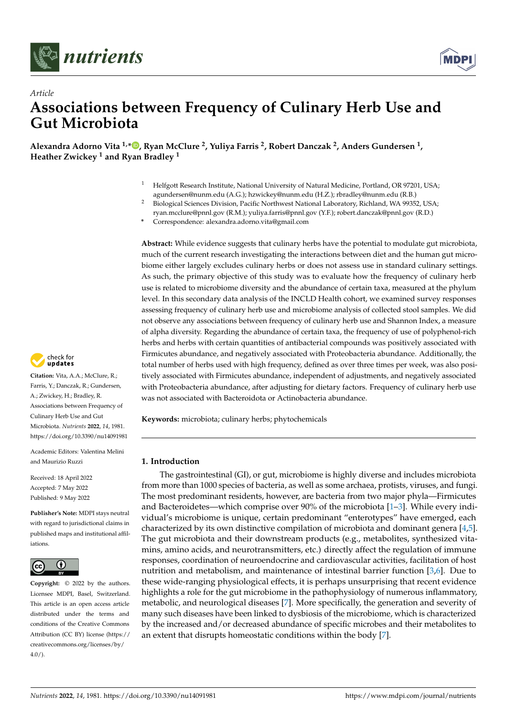



# *Article* **Associations between Frequency of Culinary Herb Use and Gut Microbiota**

**Alexandra Adorno Vita 1,\* [,](https://orcid.org/0000-0001-5126-0601) Ryan McClure <sup>2</sup> , Yuliya Farris <sup>2</sup> , Robert Danczak <sup>2</sup> , Anders Gundersen <sup>1</sup> , Heather Zwickey <sup>1</sup> and Ryan Bradley <sup>1</sup>**

- <sup>1</sup> Helfgott Research Institute, National University of Natural Medicine, Portland, OR 97201, USA; agundersen@nunm.edu (A.G.); hzwickey@nunm.edu (H.Z.); rbradley@nunm.edu (R.B.)
- <sup>2</sup> Biological Sciences Division, Pacific Northwest National Laboratory, Richland, WA 99352, USA;
	- ryan.mcclure@pnnl.gov (R.M.); yuliya.farris@pnnl.gov (Y.F.); robert.danczak@pnnl.gov (R.D.)
- **\*** Correspondence: alexandra.adorno.vita@gmail.com

**Abstract:** While evidence suggests that culinary herbs have the potential to modulate gut microbiota, much of the current research investigating the interactions between diet and the human gut microbiome either largely excludes culinary herbs or does not assess use in standard culinary settings. As such, the primary objective of this study was to evaluate how the frequency of culinary herb use is related to microbiome diversity and the abundance of certain taxa, measured at the phylum level. In this secondary data analysis of the INCLD Health cohort, we examined survey responses assessing frequency of culinary herb use and microbiome analysis of collected stool samples. We did not observe any associations between frequency of culinary herb use and Shannon Index, a measure of alpha diversity. Regarding the abundance of certain taxa, the frequency of use of polyphenol-rich herbs and herbs with certain quantities of antibacterial compounds was positively associated with Firmicutes abundance, and negatively associated with Proteobacteria abundance. Additionally, the total number of herbs used with high frequency, defined as over three times per week, was also positively associated with Firmicutes abundance, independent of adjustments, and negatively associated with Proteobacteria abundance, after adjusting for dietary factors. Frequency of culinary herb use was not associated with Bacteroidota or Actinobacteria abundance.

**Keywords:** microbiota; culinary herbs; phytochemicals

# **1. Introduction**

The gastrointestinal (GI), or gut, microbiome is highly diverse and includes microbiota from more than 1000 species of bacteria, as well as some archaea, protists, viruses, and fungi. The most predominant residents, however, are bacteria from two major phyla—Firmicutes and Bacteroidetes—which comprise over 90% of the microbiota [\[1–](#page-11-0)[3\]](#page-11-1). While every individual's microbiome is unique, certain predominant "enterotypes" have emerged, each characterized by its own distinctive compilation of microbiota and dominant genera [\[4](#page-11-2)[,5\]](#page-11-3). The gut microbiota and their downstream products (e.g., metabolites, synthesized vitamins, amino acids, and neurotransmitters, etc.) directly affect the regulation of immune responses, coordination of neuroendocrine and cardiovascular activities, facilitation of host nutrition and metabolism, and maintenance of intestinal barrier function [\[3,](#page-11-1)[6\]](#page-11-4). Due to these wide-ranging physiological effects, it is perhaps unsurprising that recent evidence highlights a role for the gut microbiome in the pathophysiology of numerous inflammatory, metabolic, and neurological diseases [\[7\]](#page-11-5). More specifically, the generation and severity of many such diseases have been linked to dysbiosis of the microbiome, which is characterized by the increased and/or decreased abundance of specific microbes and their metabolites to an extent that disrupts homeostatic conditions within the body [\[7\]](#page-11-5).



**Citation:** Vita, A.A.; McClure, R.; Farris, Y.; Danczak, R.; Gundersen, A.; Zwickey, H.; Bradley, R. Associations between Frequency of Culinary Herb Use and Gut Microbiota. *Nutrients* **2022**, *14*, 1981. <https://doi.org/10.3390/nu14091981>

Academic Editors: Valentina Melini and Maurizio Ruzzi

Received: 18 April 2022 Accepted: 7 May 2022 Published: 9 May 2022

**Publisher's Note:** MDPI stays neutral with regard to jurisdictional claims in published maps and institutional affiliations.



**Copyright:** © 2022 by the authors. Licensee MDPI, Basel, Switzerland. This article is an open access article distributed under the terms and conditions of the Creative Commons Attribution (CC BY) license [\(https://](https://creativecommons.org/licenses/by/4.0/) [creativecommons.org/licenses/by/](https://creativecommons.org/licenses/by/4.0/)  $4.0/$ ).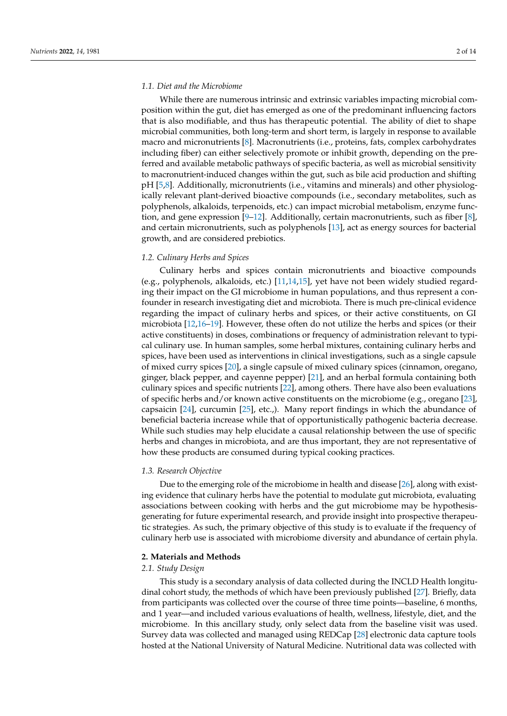#### *1.1. Diet and the Microbiome*

While there are numerous intrinsic and extrinsic variables impacting microbial composition within the gut, diet has emerged as one of the predominant influencing factors that is also modifiable, and thus has therapeutic potential. The ability of diet to shape microbial communities, both long-term and short term, is largely in response to available macro and micronutrients [\[8\]](#page-11-6). Macronutrients (i.e., proteins, fats, complex carbohydrates including fiber) can either selectively promote or inhibit growth, depending on the preferred and available metabolic pathways of specific bacteria, as well as microbial sensitivity to macronutrient-induced changes within the gut, such as bile acid production and shifting pH [\[5,](#page-11-3)[8\]](#page-11-6). Additionally, micronutrients (i.e., vitamins and minerals) and other physiologically relevant plant-derived bioactive compounds (i.e., secondary metabolites, such as polyphenols, alkaloids, terpenoids, etc.) can impact microbial metabolism, enzyme function, and gene expression  $[9-12]$  $[9-12]$ . Additionally, certain macronutrients, such as fiber  $[8]$ , and certain micronutrients, such as polyphenols [\[13\]](#page-12-1), act as energy sources for bacterial growth, and are considered prebiotics.

#### *1.2. Culinary Herbs and Spices*

Culinary herbs and spices contain micronutrients and bioactive compounds (e.g., polyphenols, alkaloids, etc.) [\[11](#page-12-2)[,14](#page-12-3)[,15\]](#page-12-4), yet have not been widely studied regarding their impact on the GI microbiome in human populations, and thus represent a confounder in research investigating diet and microbiota. There is much pre-clinical evidence regarding the impact of culinary herbs and spices, or their active constituents, on GI microbiota [\[12,](#page-12-0)[16](#page-12-5)[–19\]](#page-12-6). However, these often do not utilize the herbs and spices (or their active constituents) in doses, combinations or frequency of administration relevant to typical culinary use. In human samples, some herbal mixtures, containing culinary herbs and spices, have been used as interventions in clinical investigations, such as a single capsule of mixed curry spices [\[20\]](#page-12-7), a single capsule of mixed culinary spices (cinnamon, oregano, ginger, black pepper, and cayenne pepper) [\[21\]](#page-12-8), and an herbal formula containing both culinary spices and specific nutrients [\[22\]](#page-12-9), among others. There have also been evaluations of specific herbs and/or known active constituents on the microbiome (e.g., oregano [\[23\]](#page-12-10), capsaicin [\[24\]](#page-12-11), curcumin [\[25\]](#page-12-12), etc.,). Many report findings in which the abundance of beneficial bacteria increase while that of opportunistically pathogenic bacteria decrease. While such studies may help elucidate a causal relationship between the use of specific herbs and changes in microbiota, and are thus important, they are not representative of how these products are consumed during typical cooking practices.

#### *1.3. Research Objective*

Due to the emerging role of the microbiome in health and disease [\[26\]](#page-12-13), along with existing evidence that culinary herbs have the potential to modulate gut microbiota, evaluating associations between cooking with herbs and the gut microbiome may be hypothesisgenerating for future experimental research, and provide insight into prospective therapeutic strategies. As such, the primary objective of this study is to evaluate if the frequency of culinary herb use is associated with microbiome diversity and abundance of certain phyla.

# **2. Materials and Methods**

#### *2.1. Study Design*

This study is a secondary analysis of data collected during the INCLD Health longitudinal cohort study, the methods of which have been previously published [\[27\]](#page-12-14). Briefly, data from participants was collected over the course of three time points—baseline, 6 months, and 1 year—and included various evaluations of health, wellness, lifestyle, diet, and the microbiome. In this ancillary study, only select data from the baseline visit was used. Survey data was collected and managed using REDCap [\[28\]](#page-12-15) electronic data capture tools hosted at the National University of Natural Medicine. Nutritional data was collected with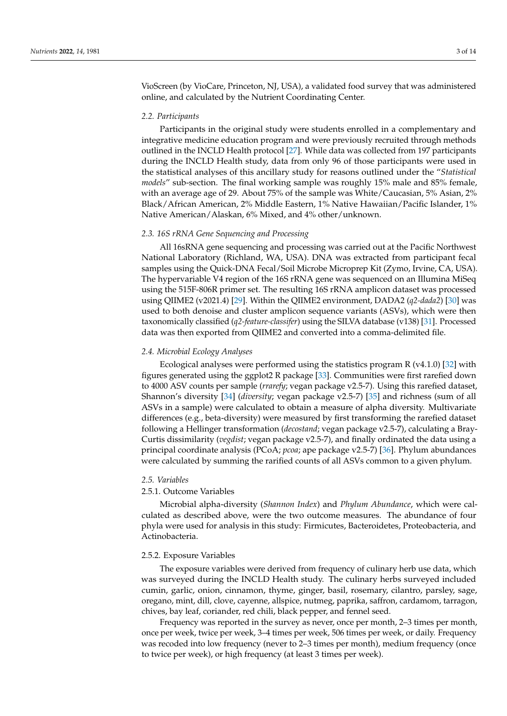VioScreen (by VioCare, Princeton, NJ, USA), a validated food survey that was administered online, and calculated by the Nutrient Coordinating Center.

#### *2.2. Participants*

Participants in the original study were students enrolled in a complementary and integrative medicine education program and were previously recruited through methods outlined in the INCLD Health protocol [\[27\]](#page-12-14). While data was collected from 197 participants during the INCLD Health study, data from only 96 of those participants were used in the statistical analyses of this ancillary study for reasons outlined under the "*Statistical models*" sub-section. The final working sample was roughly 15% male and 85% female, with an average age of 29. About 75% of the sample was White/Caucasian, 5% Asian, 2% Black/African American, 2% Middle Eastern, 1% Native Hawaiian/Pacific Islander, 1% Native American/Alaskan, 6% Mixed, and 4% other/unknown.

#### *2.3. 16S rRNA Gene Sequencing and Processing*

All 16sRNA gene sequencing and processing was carried out at the Pacific Northwest National Laboratory (Richland, WA, USA). DNA was extracted from participant fecal samples using the Quick-DNA Fecal/Soil Microbe Microprep Kit (Zymo, Irvine, CA, USA). The hypervariable V4 region of the 16S rRNA gene was sequenced on an Illumina MiSeq using the 515F-806R primer set. The resulting 16S rRNA amplicon dataset was processed using QIIME2 (v2021.4) [\[29\]](#page-12-16). Within the QIIME2 environment, DADA2 (*q2-dada2*) [\[30\]](#page-12-17) was used to both denoise and cluster amplicon sequence variants (ASVs), which were then taxonomically classified (*q2-feature-classifer*) using the SILVA database (v138) [\[31\]](#page-12-18). Processed data was then exported from QIIME2 and converted into a comma-delimited file.

#### *2.4. Microbial Ecology Analyses*

Ecological analyses were performed using the statistics program R (v4.1.0) [\[32\]](#page-12-19) with figures generated using the ggplot2 R package [\[33\]](#page-12-20). Communities were first rarefied down to 4000 ASV counts per sample (*rrarefy*; vegan package v2.5-7). Using this rarefied dataset, Shannon's diversity [\[34\]](#page-12-21) (*diversity*; vegan package v2.5-7) [\[35\]](#page-13-0) and richness (sum of all ASVs in a sample) were calculated to obtain a measure of alpha diversity. Multivariate differences (e.g., beta-diversity) were measured by first transforming the rarefied dataset following a Hellinger transformation (*decostand*; vegan package v2.5-7), calculating a Bray-Curtis dissimilarity (*vegdist*; vegan package v2.5-7), and finally ordinated the data using a principal coordinate analysis (PCoA; *pcoa*; ape package v2.5-7) [\[36\]](#page-13-1). Phylum abundances were calculated by summing the rarified counts of all ASVs common to a given phylum.

#### *2.5. Variables*

# 2.5.1. Outcome Variables

Microbial alpha-diversity (*Shannon Index*) and *Phylum Abundance*, which were calculated as described above, were the two outcome measures. The abundance of four phyla were used for analysis in this study: Firmicutes, Bacteroidetes, Proteobacteria, and Actinobacteria.

#### 2.5.2. Exposure Variables

The exposure variables were derived from frequency of culinary herb use data, which was surveyed during the INCLD Health study. The culinary herbs surveyed included cumin, garlic, onion, cinnamon, thyme, ginger, basil, rosemary, cilantro, parsley, sage, oregano, mint, dill, clove, cayenne, allspice, nutmeg, paprika, saffron, cardamom, tarragon, chives, bay leaf, coriander, red chili, black pepper, and fennel seed.

Frequency was reported in the survey as never, once per month, 2–3 times per month, once per week, twice per week, 3–4 times per week, 506 times per week, or daily. Frequency was recoded into low frequency (never to 2–3 times per month), medium frequency (once to twice per week), or high frequency (at least 3 times per week).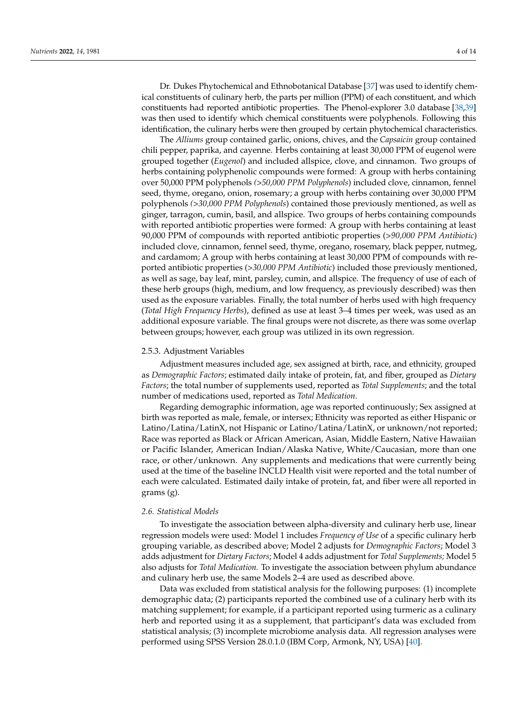Dr. Dukes Phytochemical and Ethnobotanical Database [\[37\]](#page-13-2) was used to identify chemical constituents of culinary herb, the parts per million (PPM) of each constituent, and which constituents had reported antibiotic properties. The Phenol-explorer 3.0 database [\[38](#page-13-3)[,39\]](#page-13-4) was then used to identify which chemical constituents were polyphenols. Following this identification, the culinary herbs were then grouped by certain phytochemical characteristics.

The *Alliums* group contained garlic, onions, chives, and the *Capsaicin* group contained chili pepper, paprika, and cayenne. Herbs containing at least 30,000 PPM of eugenol were grouped together (*Eugenol*) and included allspice, clove, and cinnamon. Two groups of herbs containing polyphenolic compounds were formed: A group with herbs containing over 50,000 PPM polyphenols *(>50,000 PPM Polyphenols*) included clove, cinnamon, fennel seed, thyme, oregano, onion, rosemary; a group with herbs containing over 30,000 PPM polyphenols *(>30,000 PPM Polyphenols*) contained those previously mentioned, as well as ginger, tarragon, cumin, basil, and allspice. Two groups of herbs containing compounds with reported antibiotic properties were formed: A group with herbs containing at least 90,000 PPM of compounds with reported antibiotic properties (>*90,000 PPM Antibiotic*) included clove, cinnamon, fennel seed, thyme, oregano, rosemary, black pepper, nutmeg, and cardamom; A group with herbs containing at least 30,000 PPM of compounds with reported antibiotic properties (>*30,000 PPM Antibiotic*) included those previously mentioned, as well as sage, bay leaf, mint, parsley, cumin, and allspice. The frequency of use of each of these herb groups (high, medium, and low frequency, as previously described) was then used as the exposure variables. Finally, the total number of herbs used with high frequency (*Total High Frequency Herbs*), defined as use at least 3–4 times per week, was used as an additional exposure variable. The final groups were not discrete, as there was some overlap between groups; however, each group was utilized in its own regression.

#### 2.5.3. Adjustment Variables

Adjustment measures included age, sex assigned at birth, race, and ethnicity, grouped as *Demographic Factors*; estimated daily intake of protein, fat, and fiber, grouped as *Dietary Factors*; the total number of supplements used, reported as *Total Supplements*; and the total number of medications used, reported as *Total Medication*.

Regarding demographic information, age was reported continuously; Sex assigned at birth was reported as male, female, or intersex; Ethnicity was reported as either Hispanic or Latino/Latina/LatinX, not Hispanic or Latino/Latina/LatinX, or unknown/not reported; Race was reported as Black or African American, Asian, Middle Eastern, Native Hawaiian or Pacific Islander, American Indian/Alaska Native, White/Caucasian, more than one race, or other/unknown. Any supplements and medications that were currently being used at the time of the baseline INCLD Health visit were reported and the total number of each were calculated. Estimated daily intake of protein, fat, and fiber were all reported in grams (g).

#### *2.6. Statistical Models*

To investigate the association between alpha-diversity and culinary herb use, linear regression models were used: Model 1 includes *Frequency of Use* of a specific culinary herb grouping variable, as described above; Model 2 adjusts for *Demographic Factors*; Model 3 adds adjustment for *Dietary Factors*; Model 4 adds adjustment for *Total Supplements;* Model 5 also adjusts for *Total Medication.* To investigate the association between phylum abundance and culinary herb use, the same Models 2–4 are used as described above.

Data was excluded from statistical analysis for the following purposes: (1) incomplete demographic data; (2) participants reported the combined use of a culinary herb with its matching supplement; for example, if a participant reported using turmeric as a culinary herb and reported using it as a supplement, that participant's data was excluded from statistical analysis; (3) incomplete microbiome analysis data. All regression analyses were performed using SPSS Version 28.0.1.0 (IBM Corp, Armonk, NY, USA) [\[40\]](#page-13-5).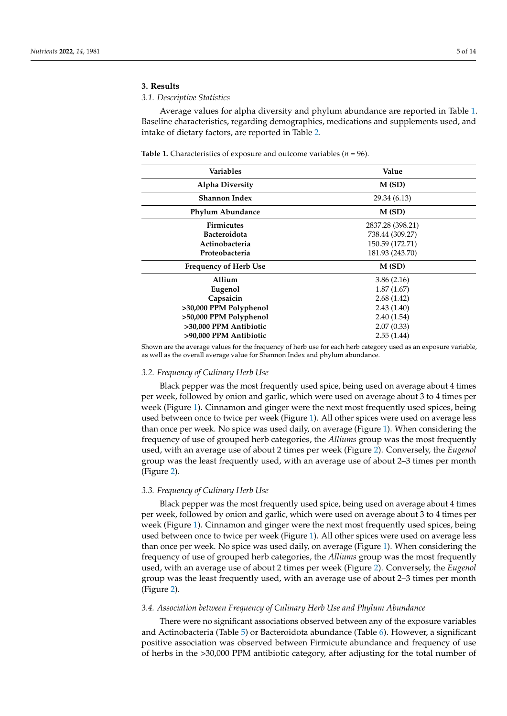# **3. Results**

# *3.1. Descriptive Statistics*

Average values for alpha diversity and phylum abundance are reported in Table [1.](#page-4-0) Baseline characteristics, regarding demographics, medications and supplements used, and intake of dietary factors, are reported in Table [2.](#page-5-0)

<span id="page-4-0"></span>**Table 1.** Characteristics of exposure and outcome variables ( $n = 96$ ).

| Variables                    | Value            |
|------------------------------|------------------|
| <b>Alpha Diversity</b>       | M(SD)            |
| <b>Shannon Index</b>         | 29.34 (6.13)     |
| <b>Phylum Abundance</b>      | M(SD)            |
| <b>Firmicutes</b>            | 2837.28 (398.21) |
| <b>Bacteroidota</b>          | 738.44 (309.27)  |
| Actinobacteria               | 150.59 (172.71)  |
| Proteobacteria               | 181.93 (243.70)  |
| <b>Frequency of Herb Use</b> | M(SD)            |
| Allium                       | 3.86(2.16)       |
| Eugenol                      | 1.87(1.67)       |
| Capsaicin                    | 2.68(1.42)       |
| >30,000 PPM Polyphenol       | 2.43(1.40)       |
| >50,000 PPM Polyphenol       | 2.40(1.54)       |
| >30,000 PPM Antibiotic       | 2.07(0.33)       |
| >90,000 PPM Antibiotic       | 2.55(1.44)       |

Shown are the average values for the frequency of herb use for each herb category used as an exposure variable, as well as the overall average value for Shannon Index and phylum abundance.

#### *3.2. Frequency of Culinary Herb Use*

Black pepper was the most frequently used spice, being used on average about 4 times per week, followed by onion and garlic, which were used on average about 3 to 4 times per week (Figure [1\)](#page-6-0). Cinnamon and ginger were the next most frequently used spices, being used between once to twice per week (Figure [1\)](#page-6-0). All other spices were used on average less than once per week. No spice was used daily, on average (Figure [1\)](#page-6-0). When considering the frequency of use of grouped herb categories, the *Alliums* group was the most frequently used, with an average use of about 2 times per week (Figure [2\)](#page-6-1). Conversely, the *Eugenol* group was the least frequently used, with an average use of about 2–3 times per month (Figure [2\)](#page-6-1).

#### *3.3. Frequency of Culinary Herb Use*

Black pepper was the most frequently used spice, being used on average about 4 times per week, followed by onion and garlic, which were used on average about 3 to 4 times per week (Figure [1\)](#page-6-0). Cinnamon and ginger were the next most frequently used spices, being used between once to twice per week (Figure [1\)](#page-6-0). All other spices were used on average less than once per week. No spice was used daily, on average (Figure [1\)](#page-6-0). When considering the frequency of use of grouped herb categories, the *Alliums* group was the most frequently used, with an average use of about 2 times per week (Figure [2\)](#page-6-1). Conversely, the *Eugenol* group was the least frequently used, with an average use of about 2–3 times per month (Figure [2\)](#page-6-1).

# *3.4. Association between Frequency of Culinary Herb Use and Phylum Abundance*

There were no significant associations observed between any of the exposure variables and Actinobacteria (Table [5\)](#page-7-0) or Bacteroidota abundance (Table [6\)](#page-8-0). However, a significant positive association was observed between Firmicute abundance and frequency of use of herbs in the >30,000 PPM antibiotic category, after adjusting for the total number of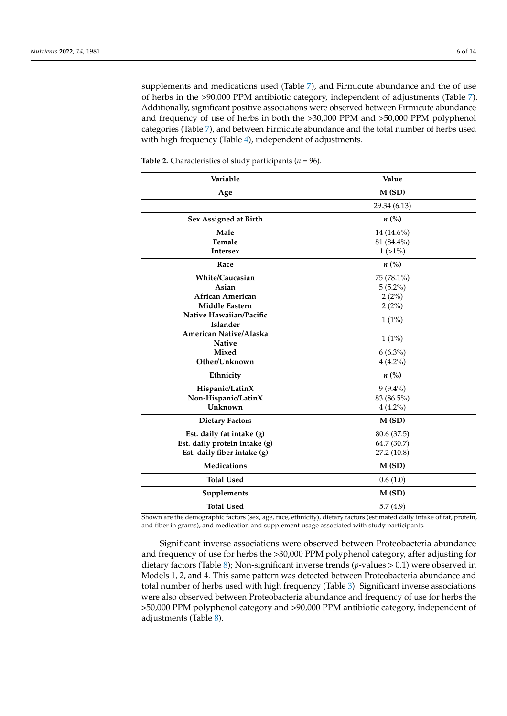supplements and medications used (Table [7\)](#page-8-1), and Firmicute abundance and the of use of herbs in the >90,000 PPM antibiotic category, independent of adjustments (Table [7\)](#page-8-1). Additionally, significant positive associations were observed between Firmicute abundance and frequency of use of herbs in both the >30,000 PPM and >50,000 PPM polyphenol categories (Table [7\)](#page-8-1), and between Firmicute abundance and the total number of herbs used with high frequency (Table [4\)](#page-7-1), independent of adjustments.

| Variable                      | Value              |
|-------------------------------|--------------------|
| Age                           | M(SD)              |
|                               | 29.34 (6.13)       |
| Sex Assigned at Birth         | $n\left(\%\right)$ |
| Male                          | 14 (14.6%)         |
| Female                        | 81 (84.4%)         |
| <b>Intersex</b>               | $1(>1\%)$          |
| Race                          | $n\left(\%\right)$ |
| White/Caucasian               | 75 (78.1%)         |
| Asian                         | $5(5.2\%)$         |
| <b>African American</b>       | 2(2%)              |
| <b>Middle Eastern</b>         | 2(2%)              |
| Native Hawaiian/Pacific       |                    |
| <b>Islander</b>               | $1(1\%)$           |
| American Native/Alaska        | $1(1\%)$           |
| <b>Native</b>                 |                    |
| <b>Mixed</b>                  | $6(6.3\%)$         |
| Other/Unknown                 | $4(4.2\%)$         |
| Ethnicity                     | $n\left(\%\right)$ |
| Hispanic/LatinX               | $9(9.4\%)$         |
| Non-Hispanic/LatinX           | 83 (86.5%)         |
| Unknown                       | $4(4.2\%)$         |
| <b>Dietary Factors</b>        | M(SD)              |
| Est. daily fat intake (g)     | 80.6 (37.5)        |
| Est. daily protein intake (g) | 64.7 (30.7)        |
| Est. daily fiber intake (g)   | 27.2 (10.8)        |
| <b>Medications</b>            | M(SD)              |
| <b>Total Used</b>             | 0.6(1.0)           |
| Supplements                   | M(SD)              |
| <b>Total Used</b>             | 5.7(4.9)           |

<span id="page-5-0"></span>**Table 2.** Characteristics of study participants (*n* = 96).

Shown are the demographic factors (sex, age, race, ethnicity), dietary factors (estimated daily intake of fat, protein, and fiber in grams), and medication and supplement usage associated with study participants.

Significant inverse associations were observed between Proteobacteria abundance and frequency of use for herbs the >30,000 PPM polyphenol category, after adjusting for dietary factors (Table [8\)](#page-8-2); Non-significant inverse trends (*p*-values > 0.1) were observed in Models 1, 2, and 4. This same pattern was detected between Proteobacteria abundance and total number of herbs used with high frequency (Table [3\)](#page-7-2). Significant inverse associations were also observed between Proteobacteria abundance and frequency of use for herbs the >50,000 PPM polyphenol category and >90,000 PPM antibiotic category, independent of adjustments (Table [8\)](#page-8-2).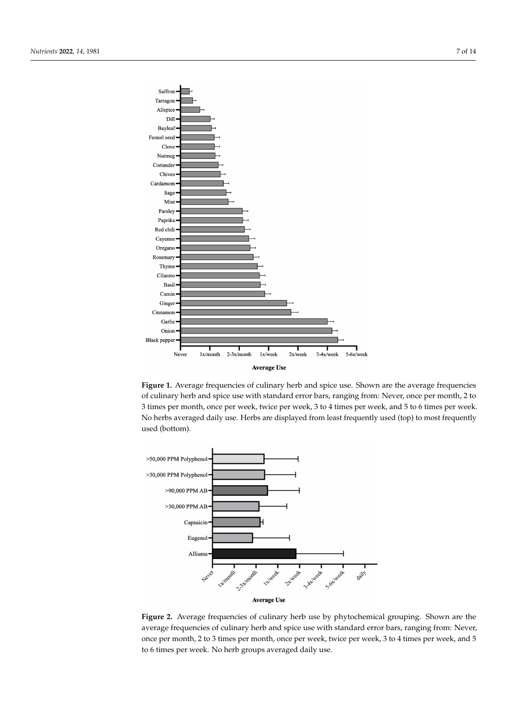<span id="page-6-0"></span>

**Figure 1.** Average frequencies of culinary herb and spice use. Shown are the average frequencies of culinary herb and spice use with standard error bars, ranging from: Never, once per month, 2 to 3 times per month, once per week, twice per week, 3 to 4 times per week, and 5 to 6 times per week. No herbs averaged daily use. Herbs are displayed from least frequently used (top) to most frequently used (bottom).

<span id="page-6-1"></span>

**Figure 2.** Average frequencies of culinary herb use by phytochemical grouping. Shown are the **Figure 2.** Average frequencies of culinary herb use by phytochemical grouping. Shown are the average frequencies of culinary herb and spice use with standard error bars, ranging from: Never, once per month, 2 to 3 times per month, once per week, twice per week, 3 to 4 times per week, and 5 *3.3. Association between Frequency of Culinary Herb Use and Alpha Diversity*  to 6 times per week. No herb groups averaged daily use.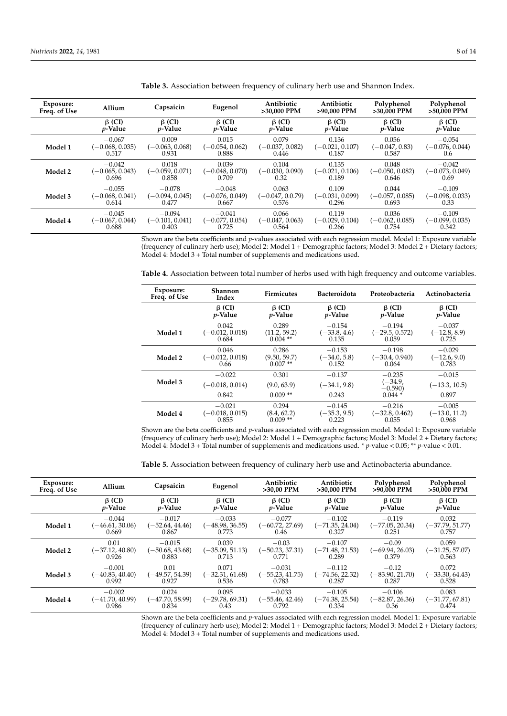| Exposure:<br>Freq. of Use | Allium            | Capsaicin         | Eugenol           | Antibiotic<br>>30.000 PPM | Antibiotic<br>>90.000 PPM | Polyphenol<br>>30,000 PPM | Polyphenol<br>>50.000 PPM |
|---------------------------|-------------------|-------------------|-------------------|---------------------------|---------------------------|---------------------------|---------------------------|
|                           | $\beta$ (CI)      | $\beta$ (CI)      | $\beta$ (CI)      | $\beta$ (CI)              | $\beta$ (CI)              | $\beta$ (CI)              | $\beta$ (CI)              |
|                           | $p$ -Value        | <i>p</i> -Value   | <i>p</i> -Value   | $p$ -Value                | <i>p</i> -Value           | <i>p</i> -Value           | <i>p</i> -Value           |
| Model 1                   | $-0.067$          | 0.009             | 0.015             | 0.079                     | 0.136                     | 0.056                     | $-0.054$                  |
|                           | $(-0.068, 0.035)$ | $(-0.063, 0.068)$ | $(-0.054, 0.062)$ | $(-0.037, 0.082)$         | $(-0.021, 0.107)$         | $(-0.047, 0.83)$          | $(-0.076, 0.044)$         |
|                           | 0.517             | 0.931             | 0.888             | 0.446                     | 0.187                     | 0.587                     | 0.6                       |
| Model 2                   | $-0.042$          | 0.018             | 0.039             | 0.104                     | 0.135                     | 0.048                     | $-0.042$                  |
|                           | $(-0.065, 0.043)$ | $(-0.059, 0.071)$ | $(-0.048, 0.070)$ | $(-0.030, 0.090)$         | $(-0.021, 0.106)$         | $(-0.050, 0.082)$         | $(-0.073, 0.049)$         |
|                           | 0.696             | 0.858             | 0.709             | 0.32                      | 0.189                     | 0.646                     | 0.69                      |
| Model 3                   | $-0.055$          | $-0.078$          | $-0.048$          | 0.063                     | 0.109                     | 0.044                     | $-0.109$                  |
|                           | $(-0.068, 0.041)$ | $(-0.094, 0.045)$ | $(-0.076, 0.049)$ | $(-0.047, 0.0.79)$        | $(-0.031, 0.099)$         | $(-0.057, 0.085)$         | $(-0.098, 0.033)$         |
|                           | 0.614             | 0.477             | 0.667             | 0.576                     | 0.296                     | 0.693                     | 0.33                      |
| Model 4                   | $-0.045$          | $-0.094$          | $-0.041$          | 0.066                     | 0.119                     | 0.036                     | $-0.109$                  |
|                           | $(-0.067, 0.044)$ | $(-0.101, 0.041)$ | $(-0.077, 0.054)$ | $(-0.047, 0.063)$         | $(-0.029, 0.104)$         | $(-0.062, 0.085)$         | $(-0.099, 0.035)$         |
|                           | 0.688             | 0.403             | 0.725             | 0.564                     | 0.266                     | 0.754                     | 0.342                     |

<span id="page-7-2"></span>**Table 3.** Association between frequency of culinary herb use and Shannon Index.

Shown are the beta coefficients and *p*-values associated with each regression model. Model 1: Exposure variable (frequency of culinary herb use); Model 2: Model 1 + Demographic factors; Model 3: Model 2 + Dietary factors; Model 4: Model 3 + Total number of supplements and medications used.

<span id="page-7-1"></span>**Table 4.** Association between total number of herbs used with high frequency and outcome variables.

| Exposure:<br>Freq. of Use | Shannon<br>Index                       | <b>Firmicutes</b>                 | <b>Bacteroidota</b>                 | Proteobacteria                                | Actinobacteria                       |
|---------------------------|----------------------------------------|-----------------------------------|-------------------------------------|-----------------------------------------------|--------------------------------------|
|                           | $\beta$ (CI)                           | $\beta$ (CI)                      | $\beta$ (CI)                        | $\beta$ (CI)                                  | $\beta$ (CI)                         |
|                           | <i>p</i> -Value                        | <i>v</i> -Value                   | <i>p</i> -Value                     | <i>p</i> -Value                               | <i>v</i> -Value                      |
| Model 1                   | 0.042                                  | 0.289                             | $-0.154$                            | $-0.194$                                      | $-0.037$                             |
|                           | $(-0.012, 0.018)$                      | (11.2, 59.2)                      | $(-33.8, 4.6)$                      | $(-29.5, 0.572)$                              | $(-12.8, 8.9)$                       |
|                           | 0.684                                  | $0.004$ **                        | 0.135                               | 0.059                                         | 0.725                                |
| Model 2                   | 0.046                                  | 0.286                             | $-0.153$                            | $-0.198$                                      | $-0.029$                             |
|                           | $(-0.012, 0.018)$                      | (9.50, 59.7)                      | $(-34.0, 5.8)$                      | $(-30.4, 0.940)$                              | $(-12.6, 9.0)$                       |
|                           | 0.66                                   | $0.007**$                         | 0.152                               | 0.064                                         | 0.783                                |
| Model 3                   | $-0.022$<br>$(-0.018, 0.014)$<br>0.842 | 0.301<br>(9.0, 63.9)<br>$0.009**$ | $-0.137$<br>$(-34.1, 9.8)$<br>0.243 | $-0.235$<br>$(-34.9,$<br>$-0.590$<br>$0.044*$ | $-0.015$<br>$(-13.3, 10.5)$<br>0.897 |
| Model 4                   | $-0.021$                               | 0.294                             | $-0.145$                            | $-0.216$                                      | $-0.005$                             |
|                           | $(-0.018, 0.015)$                      | (8.4, 62.2)                       | $(-35.3, 9.5)$                      | $(-32.8, 0.462)$                              | $(-13.0, 11.2)$                      |
|                           | 0.855                                  | $0.009**$                         | 0.223                               | 0.055                                         | 0.968                                |

Shown are the beta coefficients and *p*-values associated with each regression model. Model 1: Exposure variable (frequency of culinary herb use); Model 2: Model 1 + Demographic factors; Model 3: Model 2 + Dietary factors; Model 4: Model 3 + Total number of supplements and medications used. \* *p*-value < 0.05; \*\* *p*-value < 0.01.

<span id="page-7-0"></span>**Table 5.** Association between frequency of culinary herb use and Actinobacteria abundance.

| Exposure:<br>Freq. of Use | <b>Allium</b>     | Capsaicin         | Eugenol           | Antibiotic<br>>30.00 PPM | Antibiotic<br>>30.000 PPM | Polyphenol<br>>90,000 PPM | Polyphenol<br>>50,000 PPM |
|---------------------------|-------------------|-------------------|-------------------|--------------------------|---------------------------|---------------------------|---------------------------|
|                           | $\beta$ (CI)      | $\beta$ (CI)      | $\beta$ (CI)      | $\beta$ (CI)             | $\beta$ (CI)              | $\beta$ (CI)              | $\beta$ (CI)              |
|                           | <i>p</i> -Value   | <i>p</i> -Value   | <i>p</i> -Value   | <i>p</i> -Value          | <i>p</i> -Value           | <i>p</i> -Value           | <i>p</i> -Value           |
| Model 1                   | $-0.044$          | $-0.017$          | $-0.033$          | $-0.077$                 | $-0.102$                  | $-0.119$                  | 0.032                     |
|                           | $(-46.61, 30.06)$ | $(-52.64, 44.46)$ | $(-48.98, 36.55)$ | $(-60.72, 27.69)$        | (-71.35, 24.04)           | $(-77.05, 20.34)$         | $(-37.79, 51.77)$         |
|                           | 0.669             | 0.867             | 0.773             | 0.46                     | 0.327                     | 0.251                     | 0.757                     |
| Model 2                   | 0.01              | $-0.015$          | 0.039             | $-0.03$                  | $-0.107$                  | $-0.09$                   | 0.059                     |
|                           | $(-37.12, 40.80)$ | $(-50.68, 43.68)$ | $(-35.09, 51.13)$ | $(-50.23, 37.31)$        | (-71.48, 21.53)           | $(-69.94, 26.03)$         | $(-31.25, 57.07)$         |
|                           | 0.926             | 0.883             | 0.713             | 0.771                    | 0.289                     | 0.379                     | 0.563                     |
| Model 3                   | $-0.001$          | 0.01              | 0.071             | $-0.031$                 | $-0.112$                  | $-0.12$                   | 0.072                     |
|                           | $(-40.83, 40.40)$ | (-49.57, 54.39)   | $(-32.31, 61.68)$ | $(-55.23, 41.75)$        | (-74.56, 22.32)           | $(-83.90, 21.70)$         | $(-33.30, 64.43)$         |
|                           | 0.992             | 0.927             | 0.536             | 0.783                    | 0.287                     | 0.287                     | 0.528                     |
| Model 4                   | $-0.002$          | 0.024             | 0.095             | $-0.033$                 | $-0.105$                  | $-0.106$                  | 0.083                     |
|                           | $(-41.70, 40.99)$ | $(-47.70, 58.99)$ | $(-29.78, 69.31)$ | $(-55.46, 42.46)$        | (-74.38, 25.54)           | $(-82.87, 26.36)$         | $(-31.77, 67.81)$         |
|                           | 0.986             | 0.834             | 0.43              | 0.792                    | 0.334                     | 0.36                      | 0.474                     |

Shown are the beta coefficients and *p*-values associated with each regression model. Model 1: Exposure variable (frequency of culinary herb use); Model 2: Model 1 + Demographic factors; Model 3: Model 2 + Dietary factors; Model 4: Model 3 + Total number of supplements and medications used.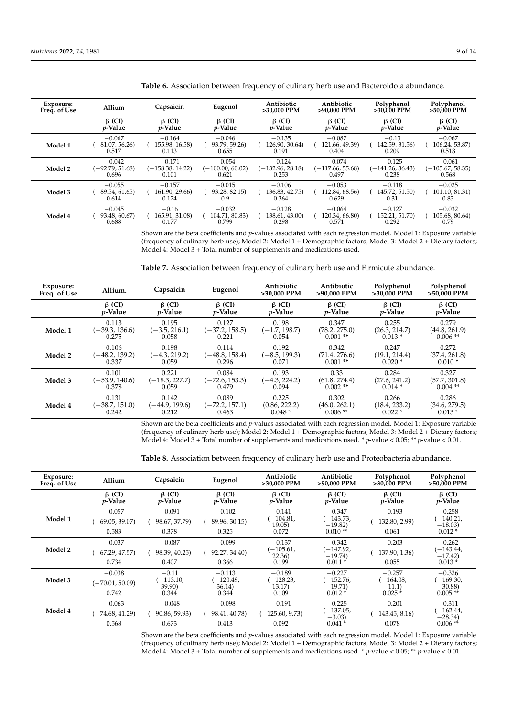| Exposure:<br>Freq. of Use | Allium            | Capsaicin          | Eugenol            | Antibiotic<br>>30,000 PPM | Antibiotic<br>>90.000 PPM | Polyphenol<br>>30,000 PPM | Polyphenol<br>>50.000 PPM |
|---------------------------|-------------------|--------------------|--------------------|---------------------------|---------------------------|---------------------------|---------------------------|
|                           | $\beta$ (CI)      | $\beta$ (CI)       | $\beta$ (CI)       | $\beta$ (CI)              | $\beta$ (CI)              | $\beta$ (CI)              | $\beta$ (CI)              |
|                           | $p$ -Value        | <i>p</i> -Value    | <i>p</i> -Value    | $p$ -Value                | <i>p</i> -Value           | <i>p</i> -Value           | <i>p</i> -Value           |
| Model 1                   | $-0.067$          | $-0.164$           | $-0.046$           | $-0.135$                  | $-0.087$                  | $-0.13$                   | $-0.067$                  |
|                           | $(-81.07, 56.26)$ | $(-155.98, 16.58)$ | $(-93.79, 59.26)$  | $(-126.90, 30.64)$        | (-121.66, 49.39)          | $(-142.59, 31.56)$        | $(-106.24, 53.87)$        |
|                           | 0.517             | 0.113              | 0.655              | 0.191                     | 0.404                     | 0.209                     | 0.518                     |
| Model 2                   | $-0.042$          | $-0.171$           | $-0.054$           | $-0.124$                  | $-0.074$                  | $-0.125$                  | $-0.061$                  |
|                           | $(-92.79, 51.68)$ | $(-158.38, 14.22)$ | $(-100.00, 60.02)$ | $(-132.96, 28.18)$        | $(-117.66, 55.68)$        | $(-141.26, 36.43)$        | $(-105.67, 58.35)$        |
|                           | 0.696             | 0.101              | 0.621              | 0.253                     | 0.497                     | 0.238                     | 0.568                     |
| Model 3                   | $-0.055$          | $-0.157$           | $-0.015$           | $-0.106$                  | $-0.053$                  | $-0.118$                  | $-0.025$                  |
|                           | $(-89.54, 61.65)$ | $(-161.90, 29.66)$ | $(-93.28, 82.15)$  | $(-136.83, 42.75)$        | $(-112.84, 68.56)$        | $(-145.72, 51.50)$        | $(-101.10, 81.31)$        |
|                           | 0.614             | 0.174              | 0.9                | 0.364                     | 0.629                     | 0.31                      | 0.83                      |
| Model 4                   | $-0.045$          | $-0.16$            | $-0.032$           | $-0.128$                  | $-0.064$                  | $-0.127$                  | $-0.032$                  |
|                           | $(-93.48, 60.67)$ | $(-165.91, 31.08)$ | $(-104.71, 80.83)$ | $(-138.61, 43.00)$        | $(-120.34, 66.80)$        | (-152.21, 51.70)          | $(-105.68, 80.64)$        |
|                           | 0.688             | 0.177              | 0.799              | 0.298                     | 0.571                     | 0.292                     | 0.79                      |

<span id="page-8-0"></span>**Table 6.** Association between frequency of culinary herb use and Bacteroidota abundance.

Shown are the beta coefficients and *p*-values associated with each regression model. Model 1: Exposure variable (frequency of culinary herb use); Model 2: Model 1 + Demographic factors; Model 3: Model 2 + Dietary factors; Model 4: Model 3 + Total number of supplements and medications used.

<span id="page-8-1"></span>**Table 7.** Association between frequency of culinary herb use and Firmicute abundance.

| Exposure:<br>Freq. of Use | Allium.          | Capsaicin        | Eugenol          | Antibiotic<br>>30,000 PPM | Antibiotic<br>>90,000 PPM | Polyphenol<br>>30,000 PPM | Polyphenol<br>>50,000 PPM |
|---------------------------|------------------|------------------|------------------|---------------------------|---------------------------|---------------------------|---------------------------|
|                           | $\beta$ (CI)     | $\beta$ (CI)     | $\beta$ (CI)     | $\beta$ (CI)              | $\beta$ (CI)              | $\beta$ (CI)              | $\beta$ (CI)              |
|                           | <i>p</i> -Value  | <i>v</i> -Value  | <i>p</i> -Value  | <i>p</i> -Value           | <i>p</i> -Value           | <i>v</i> -Value           | <i>p</i> -Value           |
| Model 1                   | 0.113            | 0.195            | 0.127            | 0.198                     | 0.347                     | 0.255                     | 0.279                     |
|                           | $(-39.3, 136.6)$ | $(-3.5, 216.1)$  | (–37.2, 158.5)   | $(-1.7, 198.7)$           | (78.2, 275.0)             | (26.3, 214.7)             | (44.8, 261.9)             |
|                           | 0.275            | 0.058            | 0.221            | 0.054                     | $0.001**$                 | $0.013*$                  | $0.006**$                 |
| Model 2                   | 0.106            | 0.198            | 0.114            | 0.192                     | 0.342                     | 0.247                     | 0.272                     |
|                           | $(-48.2, 139.2)$ | $(-4.3, 219.2)$  | $(-48.8, 158.4)$ | $(-8.5, 199.3)$           | (71.4, 276.6)             | (19.1, 214.4)             | (37.4, 261.8)             |
|                           | 0.337            | 0.059            | 0.296            | 0.071                     | $0.001**$                 | $0.020*$                  | $0.010*$                  |
| Model 3                   | 0.101            | 0.221            | 0.084            | 0.193                     | 0.33                      | 0.284                     | 0.327                     |
|                           | $(-53.9, 140.6)$ | $(-18.3, 227.7)$ | (-72.6, 153.3)   | $(-4.3, 224.2)$           | (61.8, 274.4)             | (27.6, 241.2)             | (57.7, 301.8)             |
|                           | 0.378            | 0.059            | 0.479            | 0.094                     | $0.002$ **                | $0.014*$                  | $0.004$ **                |
| Model 4                   | 0.131            | 0.142            | 0.089            | 0.225                     | 0.302                     | 0.266                     | 0.286                     |
|                           | $(-38.7, 151.0)$ | $(-44.9, 199.6)$ | $(-72.2, 157.1)$ | (0.86, 222.2)             | (46.0, 262.1)             | (18.4, 233.2)             | (34.6, 279.5)             |
|                           | 0.242            | 0.212            | 0.463            | $0.048*$                  | $0.006$ **                | $0.022*$                  | $0.013*$                  |

Shown are the beta coefficients and *p*-values associated with each regression model. Model 1: Exposure variable (frequency of culinary herb use); Model 2: Model 1 + Demographic factors; Model 3: Model 2 + Dietary factors; Model 4: Model 3 + Total number of supplements and medications used. \* *p*-value < 0.05; \*\* *p*-value < 0.01.

<span id="page-8-2"></span>**Table 8.** Association between frequency of culinary herb use and Proteobacteria abundance.

| Exposure:<br>Freq. of Use | Allium                     | Capsaicin                       | Eugenol                         | Antibiotic<br>>30,000 PPM       | Antibiotic<br>>90,000 PPM       | Polyphenol<br>>30,000 PPM       | Polyphenol<br>>50,000 PPM       |
|---------------------------|----------------------------|---------------------------------|---------------------------------|---------------------------------|---------------------------------|---------------------------------|---------------------------------|
|                           | $\beta$ (CI)<br>$p$ -Value | $\beta$ (CI)<br><i>p</i> -Value | $\beta$ (CI)<br><i>p</i> -Value | $\beta$ (CI)<br><i>p</i> -Value | $\beta$ (CI)<br><i>p</i> -Value | $\beta$ (CI)<br><i>p</i> -Value | $\beta$ (CI)<br><i>p</i> -Value |
| Model 1                   | $-0.057$                   | $-0.091$                        | $-0.102$                        | $-0.141$<br>(-104.81,           | $-0.347$<br>(–143.73,           | $-0.193$                        | $-0.258$<br>$(-140.21,$         |
|                           | $(-69.05, 39.07)$          | (–98.67, 37.79)                 | $(-89.96, 30.15)$               | 19.05)                          | $-19.82$                        | $(-132.80, 2.99)$               | $-18.03$                        |
|                           | 0.583                      | 0.378                           | 0.325                           | 0.072                           | $0.010**$                       | 0.061                           | $0.012*$                        |
|                           | $-0.037$                   | $-0.087$                        | $-0.099$                        | $-0.137$                        | $-0.342$                        | $-0.203$                        | $-0.262$                        |
| Model 2                   | $(-67.29, 47.57)$          | $(-98.39, 40.25)$               | $(-92.27, 34.40)$               | (-105.61,<br>22.36)             | (–147.92,<br>$-19.74$           | $(-137.90, 1.36)$               | $(-143.44,$<br>$-17.42$         |
|                           | 0.734                      | 0.407                           | 0.366                           | 0.199                           | $0.011*$                        | 0.055                           | $0.013*$                        |
|                           | $-0.038$                   | $-0.11$                         | $-0.113$                        | $-0.189$                        | $-0.227$                        | $-0.257$                        | $-0.326$                        |
| Model 3                   | $(-70.01, 50.09)$          | $(-113.10,$<br>39.90)           | $-120.49$ ,<br>36.14)           | (-128.23,<br>13.17)             | (–152.76,<br>$-19.71$           | $(-164.08,$<br>$-11.1)$         | $(-169.30,$<br>$-30.88$         |
|                           | 0.742                      | 0.344                           | 0.344                           | 0.109                           | $0.012*$                        | $0.025*$                        | $0.005$ **                      |
|                           | $-0.063$                   | $-0.048$                        | $-0.098$                        | $-0.191$                        | $-0.225$                        | $-0.201$                        | $-0.311$                        |
| Model 4                   | $(-74.68, 41.29)$          | $(-90.86, 59.93)$               | $(-98.41, 40.78)$               | $(-125.60, 9.73)$               | (-137.05,<br>$-3.03$            | $(-143.45, 8.16)$               | $(-162.44,$<br>$-28.34$         |
|                           | 0.568                      | 0.673                           | 0.413                           | 0.092                           | $0.041*$                        | 0.078                           | $0.006$ **                      |

Shown are the beta coefficients and *p*-values associated with each regression model. Model 1: Exposure variable (frequency of culinary herb use); Model 2: Model 1 + Demographic factors; Model 3: Model 2 + Dietary factors; Model 4: Model 3 + Total number of supplements and medications used. \* *p*-value < 0.05; \*\* *p*-value < 0.01.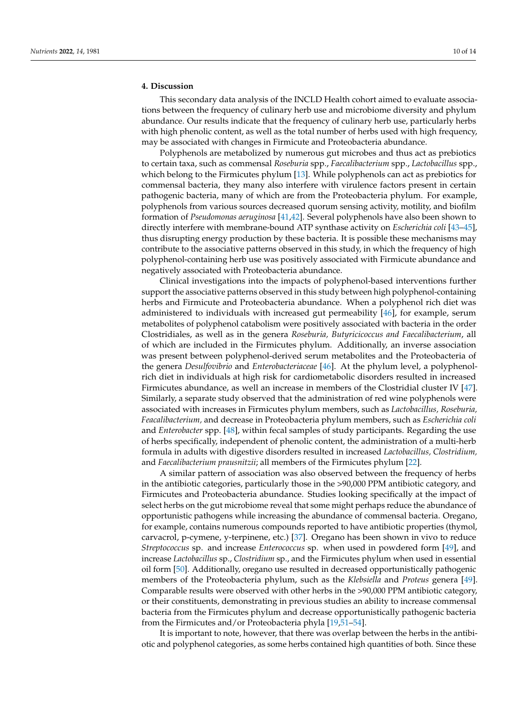# **4. Discussion**

This secondary data analysis of the INCLD Health cohort aimed to evaluate associations between the frequency of culinary herb use and microbiome diversity and phylum abundance. Our results indicate that the frequency of culinary herb use, particularly herbs with high phenolic content, as well as the total number of herbs used with high frequency, may be associated with changes in Firmicute and Proteobacteria abundance.

Polyphenols are metabolized by numerous gut microbes and thus act as prebiotics to certain taxa, such as commensal *Roseburia* spp., *Faecalibacterium* spp., *Lactobacillus* spp., which belong to the Firmicutes phylum [\[13\]](#page-12-1). While polyphenols can act as prebiotics for commensal bacteria, they many also interfere with virulence factors present in certain pathogenic bacteria, many of which are from the Proteobacteria phylum. For example, polyphenols from various sources decreased quorum sensing activity, motility, and biofilm formation of *Pseudomonas aeruginosa* [\[41,](#page-13-6)[42\]](#page-13-7). Several polyphenols have also been shown to directly interfere with membrane-bound ATP synthase activity on *Escherichia coli* [\[43–](#page-13-8)[45\]](#page-13-9), thus disrupting energy production by these bacteria. It is possible these mechanisms may contribute to the associative patterns observed in this study, in which the frequency of high polyphenol-containing herb use was positively associated with Firmicute abundance and negatively associated with Proteobacteria abundance.

Clinical investigations into the impacts of polyphenol-based interventions further support the associative patterns observed in this study between high polyphenol-containing herbs and Firmicute and Proteobacteria abundance. When a polyphenol rich diet was administered to individuals with increased gut permeability [\[46\]](#page-13-10), for example, serum metabolites of polyphenol catabolism were positively associated with bacteria in the order Clostridiales, as well as in the genera *Roseburia, Butyricicoccus and Faecalibacterium*, all of which are included in the Firmicutes phylum. Additionally, an inverse association was present between polyphenol-derived serum metabolites and the Proteobacteria of the genera *Desulfovibrio* and *Enterobacteriaceae* [\[46\]](#page-13-10). At the phylum level, a polyphenolrich diet in individuals at high risk for cardiometabolic disorders resulted in increased Firmicutes abundance, as well an increase in members of the Clostridial cluster IV [\[47\]](#page-13-11). Similarly, a separate study observed that the administration of red wine polyphenols were associated with increases in Firmicutes phylum members, such as *Lactobacillus, Roseburia, Feacalibacterium,* and decrease in Proteobacteria phylum members, such as *Escherichia coli* and *Enterobacter* spp. [\[48\]](#page-13-12), within fecal samples of study participants. Regarding the use of herbs specifically, independent of phenolic content, the administration of a multi-herb formula in adults with digestive disorders resulted in increased *Lactobacillus, Clostridium,* and *Faecalibacterium prausnitzii*; all members of the Firmicutes phylum [\[22\]](#page-12-9).

A similar pattern of association was also observed between the frequency of herbs in the antibiotic categories, particularly those in the >90,000 PPM antibiotic category, and Firmicutes and Proteobacteria abundance. Studies looking specifically at the impact of select herbs on the gut microbiome reveal that some might perhaps reduce the abundance of opportunistic pathogens while increasing the abundance of commensal bacteria. Oregano, for example, contains numerous compounds reported to have antibiotic properties (thymol, carvacrol, p-cymene, y-terpinene, etc.) [\[37\]](#page-13-2). Oregano has been shown in vivo to reduce *Streptococcus* sp. and increase *Enterococcus* sp. when used in powdered form [\[49\]](#page-13-13), and increase *Lactobacillus* sp., *Clostridium* sp., and the Firmicutes phylum when used in essential oil form [\[50\]](#page-13-14). Additionally, oregano use resulted in decreased opportunistically pathogenic members of the Proteobacteria phylum, such as the *Klebsiella* and *Proteus* genera [\[49\]](#page-13-13). Comparable results were observed with other herbs in the >90,000 PPM antibiotic category, or their constituents, demonstrating in previous studies an ability to increase commensal bacteria from the Firmicutes phylum and decrease opportunistically pathogenic bacteria from the Firmicutes and/or Proteobacteria phyla [\[19](#page-12-6)[,51–](#page-13-15)[54\]](#page-13-16).

It is important to note, however, that there was overlap between the herbs in the antibiotic and polyphenol categories, as some herbs contained high quantities of both. Since these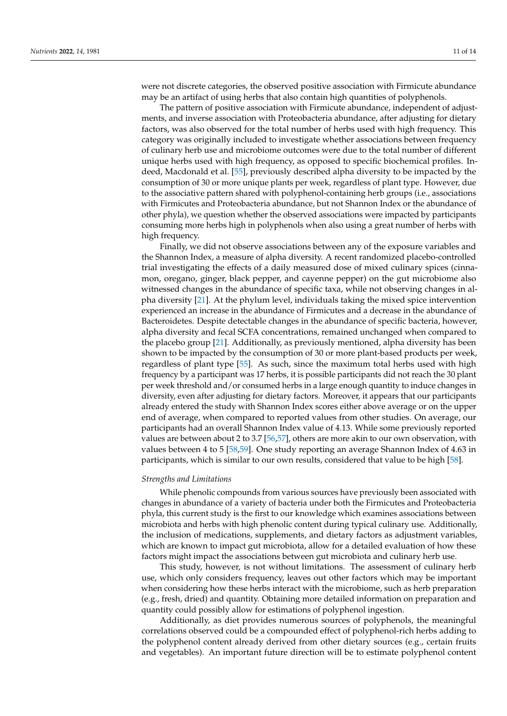were not discrete categories, the observed positive association with Firmicute abundance may be an artifact of using herbs that also contain high quantities of polyphenols.

The pattern of positive association with Firmicute abundance, independent of adjustments, and inverse association with Proteobacteria abundance, after adjusting for dietary factors, was also observed for the total number of herbs used with high frequency. This category was originally included to investigate whether associations between frequency of culinary herb use and microbiome outcomes were due to the total number of different unique herbs used with high frequency, as opposed to specific biochemical profiles. Indeed, Macdonald et al. [\[55\]](#page-13-17), previously described alpha diversity to be impacted by the consumption of 30 or more unique plants per week, regardless of plant type. However, due to the associative pattern shared with polyphenol-containing herb groups (i.e., associations with Firmicutes and Proteobacteria abundance, but not Shannon Index or the abundance of other phyla), we question whether the observed associations were impacted by participants consuming more herbs high in polyphenols when also using a great number of herbs with high frequency.

Finally, we did not observe associations between any of the exposure variables and the Shannon Index, a measure of alpha diversity. A recent randomized placebo-controlled trial investigating the effects of a daily measured dose of mixed culinary spices (cinnamon, oregano, ginger, black pepper, and cayenne pepper) on the gut microbiome also witnessed changes in the abundance of specific taxa, while not observing changes in alpha diversity [\[21\]](#page-12-8). At the phylum level, individuals taking the mixed spice intervention experienced an increase in the abundance of Firmicutes and a decrease in the abundance of Bacteroidetes. Despite detectable changes in the abundance of specific bacteria, however, alpha diversity and fecal SCFA concentrations, remained unchanged when compared to the placebo group [\[21\]](#page-12-8). Additionally, as previously mentioned, alpha diversity has been shown to be impacted by the consumption of 30 or more plant-based products per week, regardless of plant type [\[55\]](#page-13-17). As such, since the maximum total herbs used with high frequency by a participant was 17 herbs, it is possible participants did not reach the 30 plant per week threshold and/or consumed herbs in a large enough quantity to induce changes in diversity, even after adjusting for dietary factors. Moreover, it appears that our participants already entered the study with Shannon Index scores either above average or on the upper end of average, when compared to reported values from other studies. On average, our participants had an overall Shannon Index value of 4.13. While some previously reported values are between about 2 to 3.7 [\[56](#page-13-18)[,57\]](#page-13-19), others are more akin to our own observation, with values between 4 to 5 [\[58,](#page-13-20)[59\]](#page-13-21). One study reporting an average Shannon Index of 4.63 in participants, which is similar to our own results, considered that value to be high [\[58\]](#page-13-20).

#### *Strengths and Limitations*

While phenolic compounds from various sources have previously been associated with changes in abundance of a variety of bacteria under both the Firmicutes and Proteobacteria phyla, this current study is the first to our knowledge which examines associations between microbiota and herbs with high phenolic content during typical culinary use. Additionally, the inclusion of medications, supplements, and dietary factors as adjustment variables, which are known to impact gut microbiota, allow for a detailed evaluation of how these factors might impact the associations between gut microbiota and culinary herb use.

This study, however, is not without limitations. The assessment of culinary herb use, which only considers frequency, leaves out other factors which may be important when considering how these herbs interact with the microbiome, such as herb preparation (e.g., fresh, dried) and quantity. Obtaining more detailed information on preparation and quantity could possibly allow for estimations of polyphenol ingestion.

Additionally, as diet provides numerous sources of polyphenols, the meaningful correlations observed could be a compounded effect of polyphenol-rich herbs adding to the polyphenol content already derived from other dietary sources (e.g., certain fruits and vegetables). An important future direction will be to estimate polyphenol content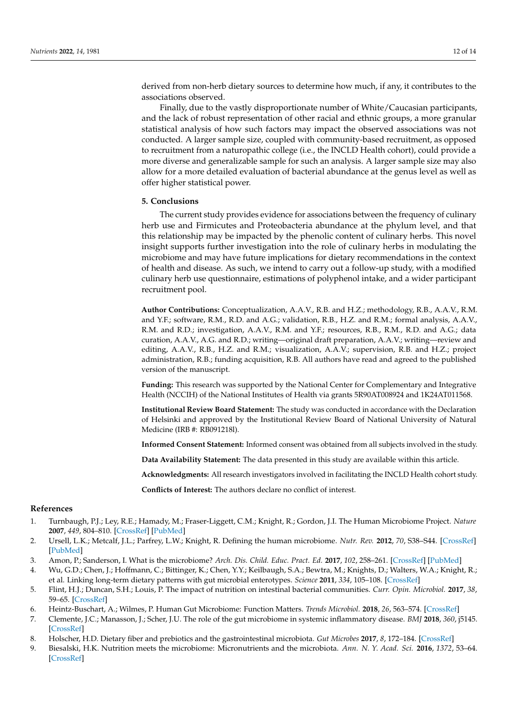derived from non-herb dietary sources to determine how much, if any, it contributes to the associations observed.

Finally, due to the vastly disproportionate number of White/Caucasian participants, and the lack of robust representation of other racial and ethnic groups, a more granular statistical analysis of how such factors may impact the observed associations was not conducted. A larger sample size, coupled with community-based recruitment, as opposed to recruitment from a naturopathic college (i.e., the INCLD Health cohort), could provide a more diverse and generalizable sample for such an analysis. A larger sample size may also allow for a more detailed evaluation of bacterial abundance at the genus level as well as offer higher statistical power.

# **5. Conclusions**

The current study provides evidence for associations between the frequency of culinary herb use and Firmicutes and Proteobacteria abundance at the phylum level, and that this relationship may be impacted by the phenolic content of culinary herbs. This novel insight supports further investigation into the role of culinary herbs in modulating the microbiome and may have future implications for dietary recommendations in the context of health and disease. As such, we intend to carry out a follow-up study, with a modified culinary herb use questionnaire, estimations of polyphenol intake, and a wider participant recruitment pool.

**Author Contributions:** Conceptualization, A.A.V., R.B. and H.Z.; methodology, R.B., A.A.V., R.M. and Y.F.; software, R.M., R.D. and A.G.; validation, R.B., H.Z. and R.M.; formal analysis, A.A.V., R.M. and R.D.; investigation, A.A.V., R.M. and Y.F.; resources, R.B., R.M., R.D. and A.G.; data curation, A.A.V., A.G. and R.D.; writing—original draft preparation, A.A.V.; writing—review and editing, A.A.V., R.B., H.Z. and R.M.; visualization, A.A.V.; supervision, R.B. and H.Z.; project administration, R.B.; funding acquisition, R.B. All authors have read and agreed to the published version of the manuscript.

**Funding:** This research was supported by the National Center for Complementary and Integrative Health (NCCIH) of the National Institutes of Health via grants 5R90AT008924 and 1K24AT011568.

**Institutional Review Board Statement:** The study was conducted in accordance with the Declaration of Helsinki and approved by the Institutional Review Board of National University of Natural Medicine (IRB #: RB091218l).

**Informed Consent Statement:** Informed consent was obtained from all subjects involved in the study.

**Data Availability Statement:** The data presented in this study are available within this article.

**Acknowledgments:** All research investigators involved in facilitating the INCLD Health cohort study.

**Conflicts of Interest:** The authors declare no conflict of interest.

## **References**

- <span id="page-11-0"></span>1. Turnbaugh, P.J.; Ley, R.E.; Hamady, M.; Fraser-Liggett, C.M.; Knight, R.; Gordon, J.I. The Human Microbiome Project. *Nature* **2007**, *449*, 804–810. [\[CrossRef\]](http://doi.org/10.1038/nature06244) [\[PubMed\]](http://www.ncbi.nlm.nih.gov/pubmed/17943116)
- 2. Ursell, L.K.; Metcalf, J.L.; Parfrey, L.W.; Knight, R. Defining the human microbiome. *Nutr. Rev.* **2012**, *70*, S38–S44. [\[CrossRef\]](http://doi.org/10.1111/j.1753-4887.2012.00493.x) [\[PubMed\]](http://www.ncbi.nlm.nih.gov/pubmed/22861806)
- <span id="page-11-1"></span>3. Amon, P.; Sanderson, I. What is the microbiome? *Arch. Dis. Child. Educ. Pract. Ed.* **2017**, *102*, 258–261. [\[CrossRef\]](http://doi.org/10.1136/archdischild-2016-311643) [\[PubMed\]](http://www.ncbi.nlm.nih.gov/pubmed/28246123)
- <span id="page-11-2"></span>4. Wu, G.D.; Chen, J.; Hoffmann, C.; Bittinger, K.; Chen, Y.Y.; Keilbaugh, S.A.; Bewtra, M.; Knights, D.; Walters, W.A.; Knight, R.; et al. Linking long-term dietary patterns with gut microbial enterotypes. *Science* **2011**, *334*, 105–108. [\[CrossRef\]](http://doi.org/10.1126/science.1208344)
- <span id="page-11-3"></span>5. Flint, H.J.; Duncan, S.H.; Louis, P. The impact of nutrition on intestinal bacterial communities. *Curr. Opin. Microbiol.* **2017**, *38*, 59–65. [\[CrossRef\]](http://doi.org/10.1016/j.mib.2017.04.005)
- <span id="page-11-4"></span>6. Heintz-Buschart, A.; Wilmes, P. Human Gut Microbiome: Function Matters. *Trends Microbiol.* **2018**, *26*, 563–574. [\[CrossRef\]](http://doi.org/10.1016/j.tim.2017.11.002)
- <span id="page-11-5"></span>7. Clemente, J.C.; Manasson, J.; Scher, J.U. The role of the gut microbiome in systemic inflammatory disease. *BMJ* **2018**, *360*, j5145. [\[CrossRef\]](http://doi.org/10.1136/bmj.j5145)
- <span id="page-11-6"></span>8. Holscher, H.D. Dietary fiber and prebiotics and the gastrointestinal microbiota. *Gut Microbes* **2017**, *8*, 172–184. [\[CrossRef\]](http://doi.org/10.1080/19490976.2017.1290756)
- <span id="page-11-7"></span>9. Biesalski, H.K. Nutrition meets the microbiome: Micronutrients and the microbiota. *Ann. N. Y. Acad. Sci.* **2016**, *1372*, 53–64. [\[CrossRef\]](http://doi.org/10.1111/nyas.13145)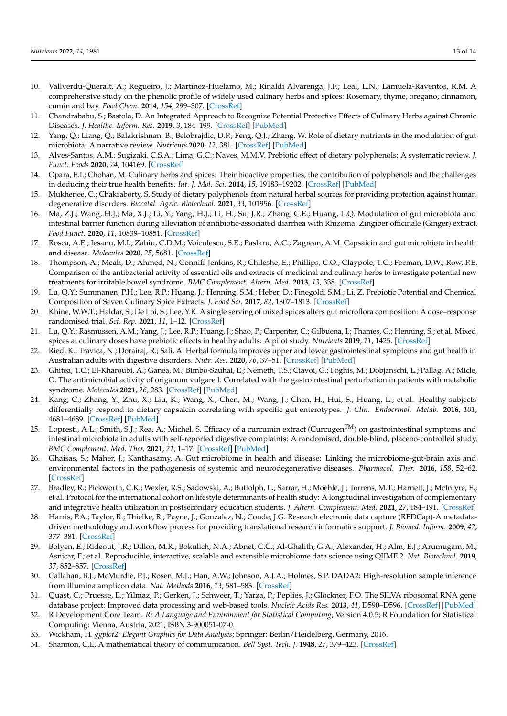- 10. Vallverdú-Queralt, A.; Regueiro, J.; Martínez-Huélamo, M.; Rinaldi Alvarenga, J.F.; Leal, L.N.; Lamuela-Raventos, R.M. A comprehensive study on the phenolic profile of widely used culinary herbs and spices: Rosemary, thyme, oregano, cinnamon, cumin and bay. *Food Chem.* **2014**, *154*, 299–307. [\[CrossRef\]](http://doi.org/10.1016/j.foodchem.2013.12.106)
- <span id="page-12-2"></span>11. Chandrababu, S.; Bastola, D. An Integrated Approach to Recognize Potential Protective Effects of Culinary Herbs against Chronic Diseases. *J. Healthc. Inform. Res.* **2019**, *3*, 184–199. [\[CrossRef\]](http://doi.org/10.1007/s41666-018-0041-x) [\[PubMed\]](http://www.ncbi.nlm.nih.gov/pubmed/35415428)
- <span id="page-12-0"></span>12. Yang, Q.; Liang, Q.; Balakrishnan, B.; Belobrajdic, D.P.; Feng, Q.J.; Zhang, W. Role of dietary nutrients in the modulation of gut microbiota: A narrative review. *Nutrients* **2020**, *12*, 381. [\[CrossRef\]](http://doi.org/10.3390/nu12020381) [\[PubMed\]](http://www.ncbi.nlm.nih.gov/pubmed/32023943)
- <span id="page-12-1"></span>13. Alves-Santos, A.M.; Sugizaki, C.S.A.; Lima, G.C.; Naves, M.M.V. Prebiotic effect of dietary polyphenols: A systematic review. *J. Funct. Foods* **2020**, *74*, 104169. [\[CrossRef\]](http://doi.org/10.1016/j.jff.2020.104169)
- <span id="page-12-3"></span>14. Opara, E.I.; Chohan, M. Culinary herbs and spices: Their bioactive properties, the contribution of polyphenols and the challenges in deducing their true health benefits. *Int. J. Mol. Sci.* **2014**, *15*, 19183–19202. [\[CrossRef\]](http://doi.org/10.3390/ijms151019183) [\[PubMed\]](http://www.ncbi.nlm.nih.gov/pubmed/25340982)
- <span id="page-12-4"></span>15. Mukherjee, C.; Chakraborty, S. Study of dietary polyphenols from natural herbal sources for providing protection against human degenerative disorders. *Biocatal. Agric. Biotechnol.* **2021**, *33*, 101956. [\[CrossRef\]](http://doi.org/10.1016/j.bcab.2021.101956)
- <span id="page-12-5"></span>16. Ma, Z.J.; Wang, H.J.; Ma, X.J.; Li, Y.; Yang, H.J.; Li, H.; Su, J.R.; Zhang, C.E.; Huang, L.Q. Modulation of gut microbiota and intestinal barrier function during alleviation of antibiotic-associated diarrhea with Rhizoma: Zingiber officinale (Ginger) extract. *Food Funct.* **2020**, *11*, 10839–10851. [\[CrossRef\]](http://doi.org/10.1039/D0FO01536A)
- 17. Rosca, A.E.; Iesanu, M.I.; Zahiu, C.D.M.; Voiculescu, S.E.; Paslaru, A.C.; Zagrean, A.M. Capsaicin and gut microbiota in health and disease. *Molecules* **2020**, *25*, 5681. [\[CrossRef\]](http://doi.org/10.3390/molecules25235681)
- 18. Thompson, A.; Meah, D.; Ahmed, N.; Conniff-Jenkins, R.; Chileshe, E.; Phillips, C.O.; Claypole, T.C.; Forman, D.W.; Row, P.E. Comparison of the antibacterial activity of essential oils and extracts of medicinal and culinary herbs to investigate potential new treatments for irritable bowel syndrome. *BMC Complement. Altern. Med.* **2013**, *13*, 338. [\[CrossRef\]](http://doi.org/10.1186/1472-6882-13-338)
- <span id="page-12-6"></span>19. Lu, Q.Y.; Summanen, P.H.; Lee, R.P.; Huang, J.; Henning, S.M.; Heber, D.; Finegold, S.M.; Li, Z. Prebiotic Potential and Chemical Composition of Seven Culinary Spice Extracts. *J. Food Sci.* **2017**, *82*, 1807–1813. [\[CrossRef\]](http://doi.org/10.1111/1750-3841.13792)
- <span id="page-12-7"></span>20. Khine, W.W.T.; Haldar, S.; De Loi, S.; Lee, Y.K. A single serving of mixed spices alters gut microflora composition: A dose–response randomised trial. *Sci. Rep.* **2021**, *11*, 1–12. [\[CrossRef\]](http://doi.org/10.1038/s41598-021-90453-7)
- <span id="page-12-8"></span>21. Lu, Q.Y.; Rasmussen, A.M.; Yang, J.; Lee, R.P.; Huang, J.; Shao, P.; Carpenter, C.; Gilbuena, I.; Thames, G.; Henning, S.; et al. Mixed spices at culinary doses have prebiotic effects in healthy adults: A pilot study. *Nutrients* **2019**, *11*, 1425. [\[CrossRef\]](http://doi.org/10.3390/nu11061425)
- <span id="page-12-9"></span>22. Ried, K.; Travica, N.; Dorairaj, R.; Sali, A. Herbal formula improves upper and lower gastrointestinal symptoms and gut health in Australian adults with digestive disorders. *Nutr. Res.* **2020**, *76*, 37–51. [\[CrossRef\]](http://doi.org/10.1016/j.nutres.2020.02.008) [\[PubMed\]](http://www.ncbi.nlm.nih.gov/pubmed/32151878)
- <span id="page-12-10"></span>23. Ghitea, T.C.; El-Kharoubi, A.; Ganea, M.; Bimbo-Szuhai, E.; Nemeth, T.S.; Ciavoi, G.; Foghis, M.; Dobjanschi, L.; Pallag, A.; Micle, O. The antimicrobial activity of origanum vulgare l. Correlated with the gastrointestinal perturbation in patients with metabolic syndrome. *Molecules* **2021**, *26*, 283. [\[CrossRef\]](http://doi.org/10.3390/molecules26020283) [\[PubMed\]](http://www.ncbi.nlm.nih.gov/pubmed/33429991)
- <span id="page-12-11"></span>24. Kang, C.; Zhang, Y.; Zhu, X.; Liu, K.; Wang, X.; Chen, M.; Wang, J.; Chen, H.; Hui, S.; Huang, L.; et al. Healthy subjects differentially respond to dietary capsaicin correlating with specific gut enterotypes. *J. Clin. Endocrinol. Metab.* **2016**, *101*, 4681–4689. [\[CrossRef\]](http://doi.org/10.1210/jc.2016-2786) [\[PubMed\]](http://www.ncbi.nlm.nih.gov/pubmed/27676396)
- <span id="page-12-12"></span>25. Lopresti, A.L.; Smith, S.J.; Rea, A.; Michel, S. Efficacy of a curcumin extract (Curcugen<sup>TM</sup>) on gastrointestinal symptoms and intestinal microbiota in adults with self-reported digestive complaints: A randomised, double-blind, placebo-controlled study. *BMC Complement. Med. Ther.* **2021**, *21*, 1–17. [\[CrossRef\]](http://doi.org/10.1186/s12906-021-03220-6) [\[PubMed\]](http://www.ncbi.nlm.nih.gov/pubmed/33478482)
- <span id="page-12-13"></span>26. Ghaisas, S.; Maher, J.; Kanthasamy, A. Gut microbiome in health and disease: Linking the microbiome-gut-brain axis and environmental factors in the pathogenesis of systemic and neurodegenerative diseases. *Pharmacol. Ther.* **2016**, *158*, 52–62. [\[CrossRef\]](http://doi.org/10.1016/j.pharmthera.2015.11.012)
- <span id="page-12-14"></span>27. Bradley, R.; Pickworth, C.K.; Wexler, R.S.; Sadowski, A.; Buttolph, L.; Sarrar, H.; Moehle, J.; Torrens, M.T.; Harnett, J.; McIntyre, E.; et al. Protocol for the international cohort on lifestyle determinants of health study: A longitudinal investigation of complementary and integrative health utilization in postsecondary education students. *J. Altern. Complement. Med.* **2021**, *27*, 184–191. [\[CrossRef\]](http://doi.org/10.1089/acm.2020.0419)
- <span id="page-12-15"></span>28. Harris, P.A.; Taylor, R.; Thielke, R.; Payne, J.; Gonzalez, N.; Conde, J.G. Research electronic data capture (REDCap)-A metadatadriven methodology and workflow process for providing translational research informatics support. *J. Biomed. Inform.* **2009**, *42*, 377–381. [\[CrossRef\]](http://doi.org/10.1016/j.jbi.2008.08.010)
- <span id="page-12-16"></span>29. Bolyen, E.; Rideout, J.R.; Dillon, M.R.; Bokulich, N.A.; Abnet, C.C.; Al-Ghalith, G.A.; Alexander, H.; Alm, E.J.; Arumugam, M.; Asnicar, F.; et al. Reproducible, interactive, scalable and extensible microbiome data science using QIIME 2. *Nat. Biotechnol.* **2019**, *37*, 852–857. [\[CrossRef\]](http://doi.org/10.1038/s41587-019-0209-9)
- <span id="page-12-17"></span>30. Callahan, B.J.; McMurdie, P.J.; Rosen, M.J.; Han, A.W.; Johnson, A.J.A.; Holmes, S.P. DADA2: High-resolution sample inference from Illumina amplicon data. *Nat. Methods* **2016**, *13*, 581–583. [\[CrossRef\]](http://doi.org/10.1038/nmeth.3869)
- <span id="page-12-18"></span>31. Quast, C.; Pruesse, E.; Yilmaz, P.; Gerken, J.; Schweer, T.; Yarza, P.; Peplies, J.; Glöckner, F.O. The SILVA ribosomal RNA gene database project: Improved data processing and web-based tools. *Nucleic Acids Res.* **2013**, *41*, D590–D596. [\[CrossRef\]](http://doi.org/10.1093/nar/gks1219) [\[PubMed\]](http://www.ncbi.nlm.nih.gov/pubmed/23193283)
- <span id="page-12-19"></span>32. R Development Core Team. *R: A Language and Environment for Statistical Computing*; Version 4.0.5; R Foundation for Statistical Computing: Vienna, Austria, 2021; ISBN 3-900051-07-0.
- <span id="page-12-20"></span>33. Wickham, H. *ggplot2: Elegant Graphics for Data Analysis*; Springer: Berlin/Heidelberg, Germany, 2016.
- <span id="page-12-21"></span>34. Shannon, C.E. A mathematical theory of communication. *Bell Syst. Tech. J.* **1948**, *27*, 379–423. [\[CrossRef\]](http://doi.org/10.1002/j.1538-7305.1948.tb01338.x)